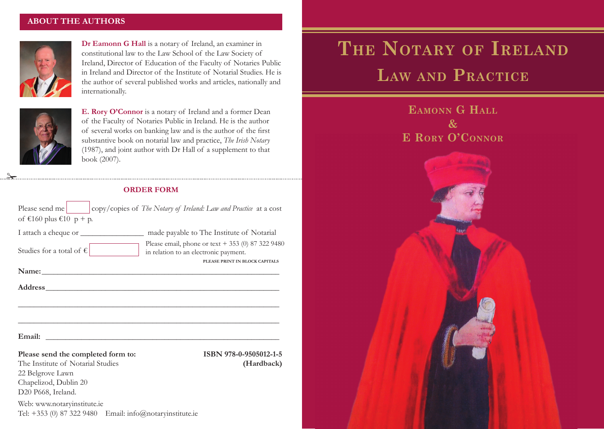## **ABOUT THE AUTHORS**



**Dr Eamonn G Hall** is a notary of Ireland, an examiner in constitutional law to the Law School of the Law Society of Ireland, Director of Education of the Faculty of Notaries Public in Ireland and Director of the Institute of Notarial Studies. He is the author of several published works and articles, nationally and internationally.



 $\frac{a}{a}$ 

**E. Rory O'Connor** is a notary of Ireland and a former Dean of the Faculty of Notaries Public in Ireland. He is the author of several works on banking law and is the author of the first substantive book on notarial law and practice, *The Irish Notary* (1987), and joint author with Dr Hall of a supplement to that book (2007).

## **ORDER FORM**

| Please send me<br>copy/copies of The Notary of Ireland: Law and Practice at a cost<br>of $\text{\textsterling}160$ plus $\text{\textsterling}10$ p + p.               |                                                                                                                                |
|-----------------------------------------------------------------------------------------------------------------------------------------------------------------------|--------------------------------------------------------------------------------------------------------------------------------|
| Studies for a total of $\epsilon$                                                                                                                                     | Please email, phone or text $+ 353$ (0) 87 322 9480<br>in relation to an electronic payment.<br>PLEASE PRINT IN BLOCK CAPITALS |
| Name: Name:                                                                                                                                                           |                                                                                                                                |
|                                                                                                                                                                       |                                                                                                                                |
| Email:<br><u> 1989 - Johann Harry Harry Harry Harry Harry Harry Harry Harry Harry Harry Harry Harry Harry Harry Harry Harry</u><br>Please send the completed form to: | ISBN 978-0-9505012-1-5                                                                                                         |
| The Institute of Notarial Studies<br>22 Belgrove Lawn<br>Chapelizod, Dublin 20<br>D20 P668, Ireland.                                                                  | (Hardback)                                                                                                                     |
| Web: www.notaryinstitute.ie<br>Tel: $+353$ (0) 87 322 9480 Email: info@notaryinstitute.ie                                                                             |                                                                                                                                |

## **The Notary of Ireland Law and Practice**